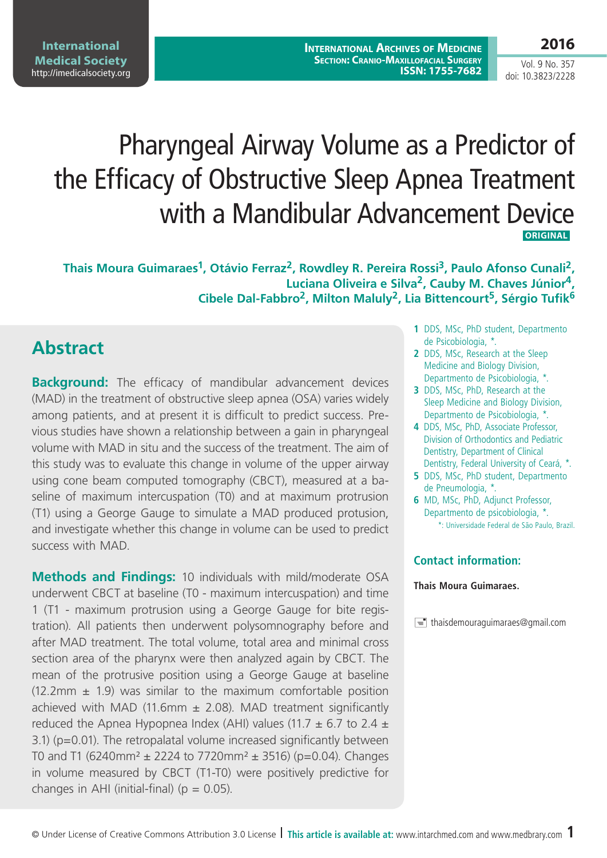# Pharyngeal Airway Volume as a Predictor of the Efficacy of Obstructive Sleep Apnea Treatment with a Mandibular Advancement Device  **ORIGINAL**

Thais Moura Guimaraes<sup>1</sup>, Otávio Ferraz<sup>2</sup>, Rowdley R. Pereira Rossi<sup>3</sup>, Paulo Afonso Cunali<sup>2</sup>, **Luciana Oliveira e Silva2, Cauby M. Chaves Júnior4, Cibele Dal-Fabbro2, Milton Maluly2, Lia Bittencourt5, Sérgio Tufik6**

## **Abstract**

**Background:** The efficacy of mandibular advancement devices (MAD) in the treatment of obstructive sleep apnea (OSA) varies widely among patients, and at present it is difficult to predict success. Previous studies have shown a relationship between a gain in pharyngeal volume with MAD in situ and the success of the treatment. The aim of this study was to evaluate this change in volume of the upper airway using cone beam computed tomography (CBCT), measured at a baseline of maximum intercuspation (T0) and at maximum protrusion (T1) using a George Gauge to simulate a MAD produced protusion, and investigate whether this change in volume can be used to predict success with MAD.

**Methods and Findings:** 10 individuals with mild/moderate OSA underwent CBCT at baseline (T0 - maximum intercuspation) and time 1 (T1 - maximum protrusion using a George Gauge for bite registration). All patients then underwent polysomnography before and after MAD treatment. The total volume, total area and minimal cross section area of the pharynx were then analyzed again by CBCT. The mean of the protrusive position using a George Gauge at baseline  $(12.2 \text{mm} \pm 1.9)$  was similar to the maximum comfortable position achieved with MAD (11.6mm  $\pm$  2.08). MAD treatment significantly reduced the Apnea Hypopnea Index (AHI) values (11.7  $\pm$  6.7 to 2.4  $\pm$ 3.1) (p=0.01). The retropalatal volume increased significantly between T0 and T1 (6240mm<sup>2</sup>  $\pm$  2224 to 7720mm<sup>2</sup>  $\pm$  3516) (p=0.04). Changes in volume measured by CBCT (T1-T0) were positively predictive for changes in AHI (initial-final) ( $p = 0.05$ ).

- **1** DDS, MSc, PhD student, Departmento de Psicobiologia, \*.
- **2** DDS, MSc, Research at the Sleep Medicine and Biology Division, Departmento de Psicobiologia, \*.
- **3** DDS, MSc, PhD, Research at the Sleep Medicine and Biology Division, Departmento de Psicobiologia, \*.
- **4** DDS, MSc, PhD, Associate Professor, Division of Orthodontics and Pediatric Dentistry, Department of Clinical Dentistry, Federal University of Ceará, \*.
- **5** DDS, MSc, PhD student, Departmento de Pneumologia, \*.
- **6** MD, MSc, PhD, Adjunct Professor, Departmento de psicobiologia, \*. \*: Universidade Federal de São Paulo, Brazil.

### **Contact information:**

#### **Thais Moura Guimaraes.**

 $\equiv$  thaisdemouraguimaraes@gmail.com

Vol. 9 No. 357 doi: 10.3823/2228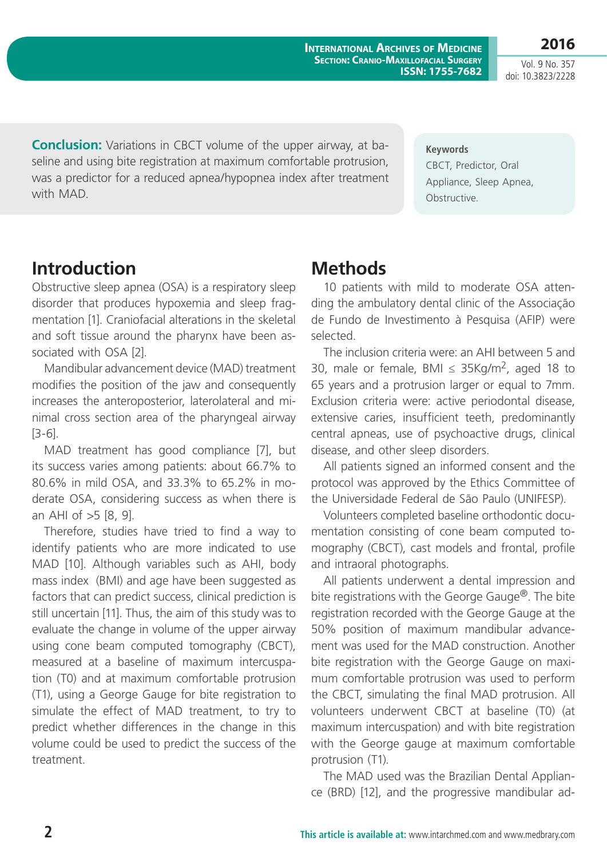Vol. 9 No. 357 doi: 10.3823/2228

**2016**

**Conclusion:** Variations in CBCT volume of the upper airway, at baseline and using bite registration at maximum comfortable protrusion, was a predictor for a reduced apnea/hypopnea index after treatment with MAD.

**Keywords**

CBCT, Predictor, Oral Appliance, Sleep Apnea, Obstructive.

### **Introduction**

Obstructive sleep apnea (OSA) is a respiratory sleep disorder that produces hypoxemia and sleep fragmentation [1]. Craniofacial alterations in the skeletal and soft tissue around the pharynx have been associated with OSA [2].

Mandibular advancement device (MAD) treatment modifies the position of the jaw and consequently increases the anteroposterior, laterolateral and minimal cross section area of the pharyngeal airway [3-6].

MAD treatment has good compliance [7], but its success varies among patients: about 66.7% to 80.6% in mild OSA, and 33.3% to 65.2% in moderate OSA, considering success as when there is an AHI of >5 [8, 9].

Therefore, studies have tried to find a way to identify patients who are more indicated to use MAD [10]. Although variables such as AHI, body mass index (BMI) and age have been suggested as factors that can predict success, clinical prediction is still uncertain [11]. Thus, the aim of this study was to evaluate the change in volume of the upper airway using cone beam computed tomography (CBCT), measured at a baseline of maximum intercuspation (T0) and at maximum comfortable protrusion (T1), using a George Gauge for bite registration to simulate the effect of MAD treatment, to try to predict whether differences in the change in this volume could be used to predict the success of the treatment.

# **Methods**

10 patients with mild to moderate OSA attending the ambulatory dental clinic of the Associação de Fundo de Investimento à Pesquisa (AFIP) were selected.

The inclusion criteria were: an AHI between 5 and 30, male or female, BMI ≤ 35Kg/m<sup>2</sup>, aged 18 to 65 years and a protrusion larger or equal to 7mm. Exclusion criteria were: active periodontal disease, extensive caries, insufficient teeth, predominantly central apneas, use of psychoactive drugs, clinical disease, and other sleep disorders.

All patients signed an informed consent and the protocol was approved by the Ethics Committee of the Universidade Federal de São Paulo (UNIFESP).

Volunteers completed baseline orthodontic documentation consisting of cone beam computed tomography (CBCT), cast models and frontal, profile and intraoral photographs.

All patients underwent a dental impression and bite registrations with the George Gauge®. The bite registration recorded with the George Gauge at the 50% position of maximum mandibular advancement was used for the MAD construction. Another bite registration with the George Gauge on maximum comfortable protrusion was used to perform the CBCT, simulating the final MAD protrusion. All volunteers underwent CBCT at baseline (T0) (at maximum intercuspation) and with bite registration with the George gauge at maximum comfortable protrusion (T1).

The MAD used was the Brazilian Dental Appliance (BRD) [12], and the progressive mandibular ad-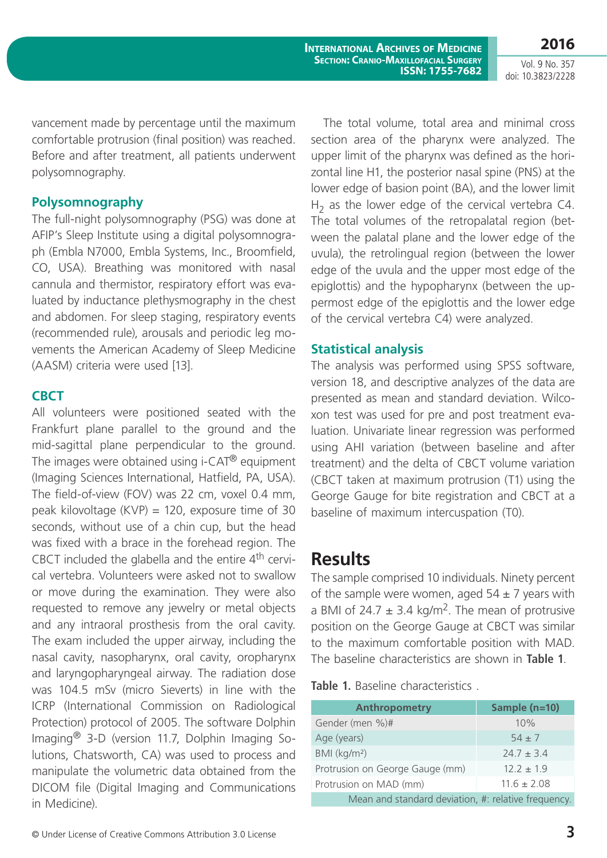**2016** Vol. 9 No. 357

doi: 10.3823/2228

vancement made by percentage until the maximum comfortable protrusion (final position) was reached. Before and after treatment, all patients underwent polysomnography.

### **Polysomnography**

The full-night polysomnography (PSG) was done at AFIP's Sleep Institute using a digital polysomnograph (Embla N7000, Embla Systems, Inc., Broomfield, CO, USA). Breathing was monitored with nasal cannula and thermistor, respiratory effort was evaluated by inductance plethysmography in the chest and abdomen. For sleep staging, respiratory events (recommended rule), arousals and periodic leg movements the American Academy of Sleep Medicine (AASM) criteria were used [13].

#### **CBCT**

All volunteers were positioned seated with the Frankfurt plane parallel to the ground and the mid-sagittal plane perpendicular to the ground. The images were obtained using i-CAT<sup>®</sup> equipment (Imaging Sciences International, Hatfield, PA, USA). The field-of-view (FOV) was 22 cm, voxel 0.4 mm, peak kilovoltage  $(KVP) = 120$ , exposure time of 30 seconds, without use of a chin cup, but the head was fixed with a brace in the forehead region. The CBCT included the glabella and the entire  $4<sup>th</sup>$  cervical vertebra. Volunteers were asked not to swallow or move during the examination. They were also requested to remove any jewelry or metal objects and any intraoral prosthesis from the oral cavity. The exam included the upper airway, including the nasal cavity, nasopharynx, oral cavity, oropharynx and laryngopharyngeal airway. The radiation dose was 104.5 mSv (micro Sieverts) in line with the ICRP (International Commission on Radiological Protection) protocol of 2005. The software Dolphin Imaging® 3-D (version 11.7, Dolphin Imaging Solutions, Chatsworth, CA) was used to process and manipulate the volumetric data obtained from the DICOM file (Digital Imaging and Communications in Medicine).

The total volume, total area and minimal cross section area of the pharynx were analyzed. The upper limit of the pharynx was defined as the horizontal line H1, the posterior nasal spine (PNS) at the lower edge of basion point (BA), and the lower limit  $H<sub>2</sub>$  as the lower edge of the cervical vertebra C4. The total volumes of the retropalatal region (between the palatal plane and the lower edge of the uvula), the retrolingual region (between the lower edge of the uvula and the upper most edge of the epiglottis) and the hypopharynx (between the uppermost edge of the epiglottis and the lower edge of the cervical vertebra C4) were analyzed.

#### **Statistical analysis**

The analysis was performed using SPSS software, version 18, and descriptive analyzes of the data are presented as mean and standard deviation. Wilcoxon test was used for pre and post treatment evaluation. Univariate linear regression was performed using AHI variation (between baseline and after treatment) and the delta of CBCT volume variation (CBCT taken at maximum protrusion (T1) using the George Gauge for bite registration and CBCT at a baseline of maximum intercuspation (T0).

### **Results**

The sample comprised 10 individuals. Ninety percent of the sample were women, aged  $54 \pm 7$  years with a BMI of 24.7  $\pm$  3.4 kg/m<sup>2</sup>. The mean of protrusive position on the George Gauge at CBCT was similar to the maximum comfortable position with MAD. The baseline characteristics are shown in **Table 1**.

**Table 1.** Baseline characteristics .

| <b>Anthropometry</b>                                | Sample (n=10)   |  |  |
|-----------------------------------------------------|-----------------|--|--|
| Gender (men %)#                                     | 10%             |  |  |
| Age (years)                                         | $54 + 7$        |  |  |
| BMI (kg/m <sup>2</sup> )                            | $24.7 \pm 3.4$  |  |  |
| Protrusion on George Gauge (mm)                     | $12.2 + 1.9$    |  |  |
| Protrusion on MAD (mm)                              | $11.6 \pm 2.08$ |  |  |
| Mean and standard deviation, #: relative frequency. |                 |  |  |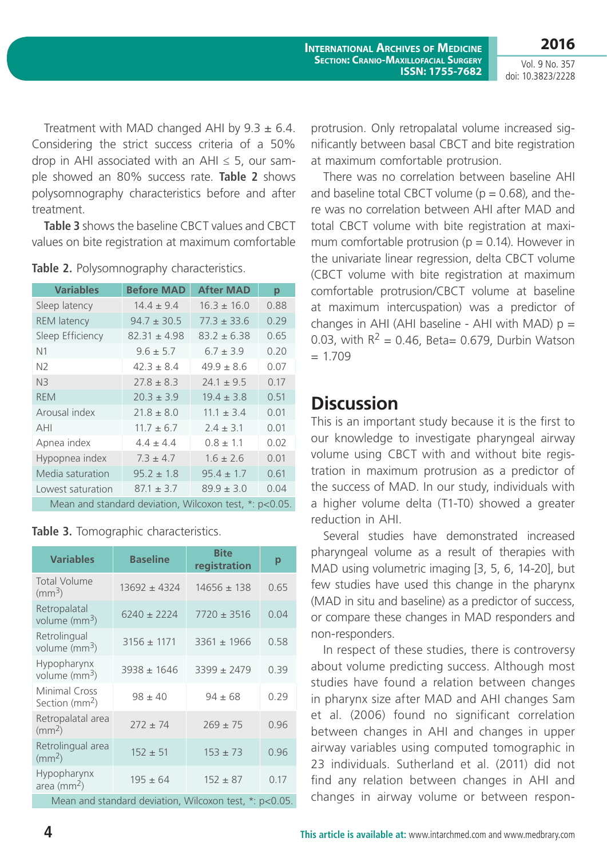**2016** Vol. 9 No. 357 doi: 10.3823/2228

Treatment with MAD changed AHI by  $9.3 \pm 6.4$ . Considering the strict success criteria of a 50% drop in AHI associated with an AHI  $\leq$  5, our sample showed an 80% success rate. **Table 2** shows polysomnography characteristics before and after treatment.

**Table 3** shows the baseline CBCT values and CBCT values on bite registration at maximum comfortable

| <b>Variables</b>                                       | <b>Before MAD</b> | <b>After MAD</b> | р    |  |
|--------------------------------------------------------|-------------------|------------------|------|--|
| Sleep latency                                          | $14.4 + 9.4$      | $16.3 + 16.0$    | 0.88 |  |
| <b>REM</b> latency                                     | $94.7 \pm 30.5$   | $77.3 \pm 33.6$  | 0.29 |  |
| Sleep Efficiency                                       | $82.31 \pm 4.98$  | $83.2 \pm 6.38$  | 0.65 |  |
| N <sub>1</sub>                                         | $9.6 \pm 5.7$     | $6.7 \pm 3.9$    | 0.20 |  |
| N <sub>2</sub>                                         | $42.3 + 8.4$      | $49.9 \pm 8.6$   | 0.07 |  |
| N <sub>3</sub>                                         | $77.8 + 8.3$      | $74.1 + 9.5$     | 0.17 |  |
| <b>REM</b>                                             | $70.3 + 3.9$      | $19.4 + 3.8$     | 0.51 |  |
| Arousal index                                          | $21.8 \pm 8.0$    | $11.1 \pm 3.4$   | 0.01 |  |
| AHI                                                    | $11.7 \pm 6.7$    | $7.4 + 3.1$      | 0.01 |  |
| Apnea index                                            | $4.4 \pm 4.4$     | $0.8 \pm 1.1$    | 0.02 |  |
| Hypopnea index                                         | $7.3 \pm 4.7$     | $1.6 + 2.6$      | 0.01 |  |
| Media saturation                                       | $95.2 \pm 1.8$    | $95.4 \pm 1.7$   | 0.61 |  |
| Lowest saturation                                      | $87.1 + 3.7$      | $89.9 + 3.0$     | 0.04 |  |
| Mean and standard deviation, Wilcoxon test, *: p<0.05. |                   |                  |      |  |

**Table 2.** Polysomnography characteristics.

**Table 3.** Tomographic characteristics.

| <b>Variables</b>                                       | <b>Baseline</b>  | <b>Bite</b><br>registration | р    |  |
|--------------------------------------------------------|------------------|-----------------------------|------|--|
| <b>Total Volume</b><br>$\rm (mm^3)$                    | $13692 \pm 4324$ | $14656 \pm 138$             | 0.65 |  |
| Retropalatal<br>volume ( $mm3$ )                       | $6240 \pm 2224$  | $7720 \pm 3516$             | 0.04 |  |
| Retrolingual<br>volume ( $mm3$ )                       | $3156 \pm 1171$  | $3361 \pm 1966$             | 0.58 |  |
| Hypopharynx<br>volume ( $mm3$ )                        | $3938 \pm 1646$  | $3399 \pm 2479$             | 0.39 |  |
| Minimal Cross<br>Section (mm <sup>2</sup> )            | $98 \pm 40$      | $94 \pm 68$                 | 0.29 |  |
| Retropalatal area<br>$\rm (mm^2)$                      | $272 \pm 74$     | $269 \pm 75$                | 0.96 |  |
| Retrolingual area<br>$\rm (mm^2)$                      | $152 \pm 51$     | $153 \pm 73$                | 0.96 |  |
| Hypopharynx<br>area ( $mm2$ )                          | $195 \pm 64$     | $152 \pm 87$                | 0.17 |  |
| Mean and standard deviation, Wilcoxon test, *: p<0.05. |                  |                             |      |  |

protrusion. Only retropalatal volume increased significantly between basal CBCT and bite registration at maximum comfortable protrusion.

There was no correlation between baseline AHI and baseline total CBCT volume ( $p = 0.68$ ), and there was no correlation between AHI after MAD and total CBCT volume with bite registration at maximum comfortable protrusion ( $p = 0.14$ ). However in the univariate linear regression, delta CBCT volume (CBCT volume with bite registration at maximum comfortable protrusion/CBCT volume at baseline at maximum intercuspation) was a predictor of changes in AHI (AHI baseline - AHI with MAD)  $p =$ 0.03, with  $R^2 = 0.46$ , Beta= 0.679, Durbin Watson  $= 1.709$ 

### **Discussion**

This is an important study because it is the first to our knowledge to investigate pharyngeal airway volume using CBCT with and without bite registration in maximum protrusion as a predictor of the success of MAD. In our study, individuals with a higher volume delta (T1-T0) showed a greater reduction in AHI.

Several studies have demonstrated increased pharyngeal volume as a result of therapies with MAD using volumetric imaging [3, 5, 6, 14-20], but few studies have used this change in the pharynx (MAD in situ and baseline) as a predictor of success, or compare these changes in MAD responders and non-responders.

In respect of these studies, there is controversy about volume predicting success. Although most studies have found a relation between changes in pharynx size after MAD and AHI changes Sam et al. (2006) found no significant correlation between changes in AHI and changes in upper airway variables using computed tomographic in 23 individuals. Sutherland et al. (2011) did not find any relation between changes in AHI and changes in airway volume or between respon-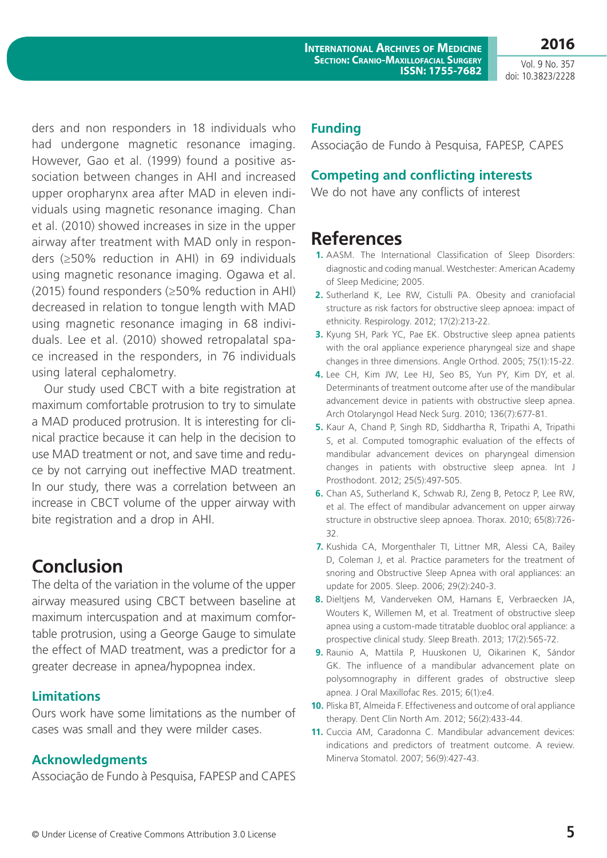Vol. 9 No. 357 doi: 10.3823/2228

**2016**

ders and non responders in 18 individuals who had undergone magnetic resonance imaging. However, Gao et al. (1999) found a positive association between changes in AHI and increased upper oropharynx area after MAD in eleven individuals using magnetic resonance imaging. Chan et al. (2010) showed increases in size in the upper airway after treatment with MAD only in responders (≥50% reduction in AHI) in 69 individuals using magnetic resonance imaging. Ogawa et al. (2015) found responders (≥50% reduction in AHI) decreased in relation to tongue length with MAD using magnetic resonance imaging in 68 individuals. Lee et al. (2010) showed retropalatal space increased in the responders, in 76 individuals using lateral cephalometry.

Our study used CBCT with a bite registration at maximum comfortable protrusion to try to simulate a MAD produced protrusion. It is interesting for clinical practice because it can help in the decision to use MAD treatment or not, and save time and reduce by not carrying out ineffective MAD treatment. In our study, there was a correlation between an increase in CBCT volume of the upper airway with bite registration and a drop in AHI.

# **Conclusion**

The delta of the variation in the volume of the upper airway measured using CBCT between baseline at maximum intercuspation and at maximum comfortable protrusion, using a George Gauge to simulate the effect of MAD treatment, was a predictor for a greater decrease in apnea/hypopnea index.

### **Limitations**

Ours work have some limitations as the number of cases was small and they were milder cases.

### **Acknowledgments**

Associação de Fundo à Pesquisa, FAPESP and CAPES

### **Funding**

Associação de Fundo à Pesquisa, FAPESP, CAPES

### **Competing and conflicting interests**

We do not have any conflicts of interest

### **References**

- **1.** AASM. The International Classification of Sleep Disorders: diagnostic and coding manual. Westchester: American Academy of Sleep Medicine; 2005.
- **2.** Sutherland K, Lee RW, Cistulli PA. Obesity and craniofacial structure as risk factors for obstructive sleep apnoea: impact of ethnicity. Respirology. 2012; 17(2):213-22.
- **3.** Kyung SH, Park YC, Pae EK. Obstructive sleep apnea patients with the oral appliance experience pharyngeal size and shape changes in three dimensions. Angle Orthod. 2005; 75(1):15-22.
- **4.** Lee CH, Kim JW, Lee HJ, Seo BS, Yun PY, Kim DY, et al. Determinants of treatment outcome after use of the mandibular advancement device in patients with obstructive sleep apnea. Arch Otolaryngol Head Neck Surg. 2010; 136(7):677-81.
- **5.** Kaur A, Chand P, Singh RD, Siddhartha R, Tripathi A, Tripathi S, et al. Computed tomographic evaluation of the effects of mandibular advancement devices on pharyngeal dimension changes in patients with obstructive sleep apnea. Int J Prosthodont. 2012; 25(5):497-505.
- **6.** Chan AS, Sutherland K, Schwab RJ, Zeng B, Petocz P, Lee RW, et al. The effect of mandibular advancement on upper airway structure in obstructive sleep apnoea. Thorax. 2010; 65(8):726- 32.
- **7.** Kushida CA, Morgenthaler TI, Littner MR, Alessi CA, Bailey D, Coleman J, et al. Practice parameters for the treatment of snoring and Obstructive Sleep Apnea with oral appliances: an update for 2005. Sleep. 2006; 29(2):240-3.
- **8.** Dieltjens M, Vanderveken OM, Hamans E, Verbraecken JA, Wouters K, Willemen M, et al. Treatment of obstructive sleep apnea using a custom-made titratable duobloc oral appliance: a prospective clinical study. Sleep Breath. 2013; 17(2):565-72.
- **9.** Raunio A, Mattila P, Huuskonen U, Oikarinen K, Sándor GK. The influence of a mandibular advancement plate on polysomnography in different grades of obstructive sleep apnea. J Oral Maxillofac Res. 2015; 6(1):e4.
- **10.** Pliska BT, Almeida F. Effectiveness and outcome of oral appliance therapy. Dent Clin North Am. 2012; 56(2):433-44.
- **11.** Cuccia AM, Caradonna C. Mandibular advancement devices: indications and predictors of treatment outcome. A review. Minerva Stomatol. 2007; 56(9):427-43.